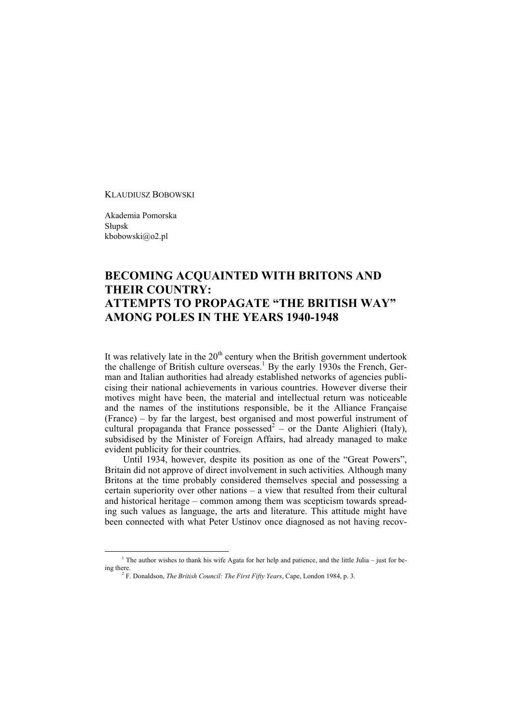KLAUDIUSZ BOBOWSKI

Akademia Pomorska Słupsk kbobowski@o2.pl

## **BECOMING ACQUAINTED WITH BRITONS AND THEIR COUNTRY: ATTEMPTS TO PROPAGATE "THE BRITISH WAY" AMONG POLES IN THE YEARS 1940-1948**

It was relatively late in the  $20<sup>th</sup>$  century when the British government undertook the challenge of British culture overseas.<sup>1</sup> By the early 1930s the French, German and Italian authorities had already established networks of agencies publicising their national achievements in various countries. However diverse their motives might have been, the material and intellectual return was noticeable and the names of the institutions responsible, be it the Alliance Française (France) – by far the largest, best organised and most powerful instrument of cultural propaganda that France possessed<sup>2</sup> – or the Dante Alighieri (Italy), subsidised by the Minister of Foreign Affairs, had already managed to make evident publicity for their countries.

Until 1934, however, despite its position as one of the "Great Powers", Britain did not approve of direct involvement in such activities*.* Although many Britons at the time probably considered themselves special and possessing a certain superiority over other nations – a view that resulted from their cultural and historical heritage – common among them was scepticism towards spreading such values as language, the arts and literature. This attitude might have been connected with what Peter Ustinov once diagnosed as not having recov-

<sup>&</sup>lt;sup>1</sup> The author wishes to thank his wife Agata for her help and patience, and the little Julia – just for being there.

F. Donaldson, *The British Council: The First Fifty Years*, Cape, London 1984, p. 3.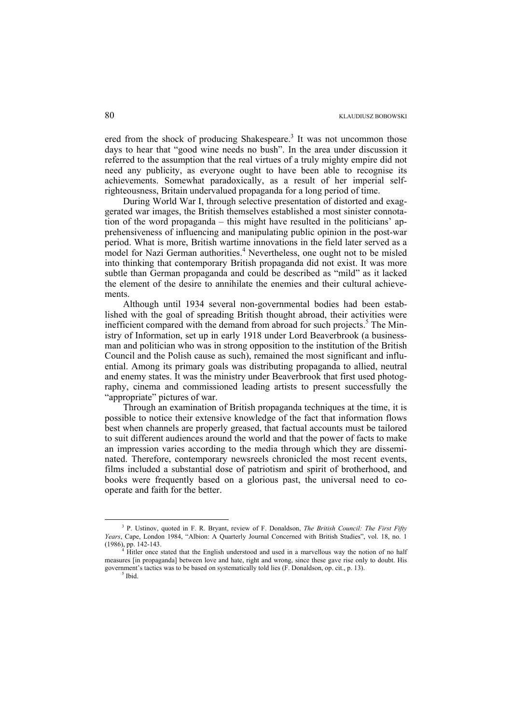ered from the shock of producing Shakespeare.<sup>3</sup> It was not uncommon those days to hear that "good wine needs no bush". In the area under discussion it referred to the assumption that the real virtues of a truly mighty empire did not need any publicity, as everyone ought to have been able to recognise its achievements. Somewhat paradoxically, as a result of her imperial selfrighteousness, Britain undervalued propaganda for a long period of time.

During World War I, through selective presentation of distorted and exaggerated war images, the British themselves established a most sinister connotation of the word propaganda – this might have resulted in the politicians' apprehensiveness of influencing and manipulating public opinion in the post-war period. What is more, British wartime innovations in the field later served as a model for Nazi German authorities.<sup>4</sup> Nevertheless, one ought not to be misled into thinking that contemporary British propaganda did not exist. It was more subtle than German propaganda and could be described as "mild" as it lacked the element of the desire to annihilate the enemies and their cultural achievements.

Although until 1934 several non-governmental bodies had been established with the goal of spreading British thought abroad, their activities were inefficient compared with the demand from abroad for such projects.<sup>5</sup> The Ministry of Information, set up in early 1918 under Lord Beaverbrook (a businessman and politician who was in strong opposition to the institution of the British Council and the Polish cause as such), remained the most significant and influential. Among its primary goals was distributing propaganda to allied, neutral and enemy states. It was the ministry under Beaverbrook that first used photography, cinema and commissioned leading artists to present successfully the "appropriate" pictures of war.

Through an examination of British propaganda techniques at the time, it is possible to notice their extensive knowledge of the fact that information flows best when channels are properly greased, that factual accounts must be tailored to suit different audiences around the world and that the power of facts to make an impression varies according to the media through which they are disseminated. Therefore, contemporary newsreels chronicled the most recent events, films included a substantial dose of patriotism and spirit of brotherhood, and books were frequently based on a glorious past, the universal need to cooperate and faith for the better.

 $\frac{1}{3}$  P. Ustinov, quoted in F. R. Bryant, review of F. Donaldson, *The British Council: The First Fifty Years*, Cape, London 1984, "Albion: A Quarterly Journal Concerned with British Studies", vol. 18, no. 1 (1986), pp. 142-143. 4

 $\frac{4}{3}$  Hitler once stated that the English understood and used in a marvellous way the notion of no half measures [in propaganda] between love and hate, right and wrong, since these gave rise only to doubt. His government's tactics was to be based on systematically told lies (F. Donaldson, op. cit., p. 13).

 $^5$  Ibid.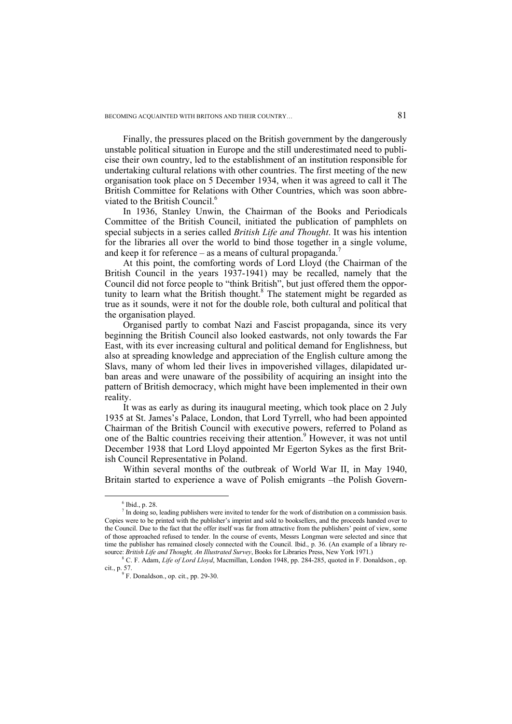Finally, the pressures placed on the British government by the dangerously unstable political situation in Europe and the still underestimated need to publicise their own country, led to the establishment of an institution responsible for undertaking cultural relations with other countries. The first meeting of the new organisation took place on 5 December 1934, when it was agreed to call it The British Committee for Relations with Other Countries, which was soon abbreviated to the British Council.<sup>6</sup>

In 1936, Stanley Unwin, the Chairman of the Books and Periodicals Committee of the British Council, initiated the publication of pamphlets on special subjects in a series called *British Life and Thought*. It was his intention for the libraries all over the world to bind those together in a single volume, and keep it for reference – as a means of cultural propaganda.<sup>7</sup>

At this point, the comforting words of Lord Lloyd (the Chairman of the British Council in the years 1937-1941) may be recalled, namely that the Council did not force people to "think British", but just offered them the opportunity to learn what the British thought.<sup>8</sup> The statement might be regarded as true as it sounds, were it not for the double role, both cultural and political that the organisation played.

Organised partly to combat Nazi and Fascist propaganda, since its very beginning the British Council also looked eastwards, not only towards the Far East, with its ever increasing cultural and political demand for Englishness, but also at spreading knowledge and appreciation of the English culture among the Slavs, many of whom led their lives in impoverished villages, dilapidated urban areas and were unaware of the possibility of acquiring an insight into the pattern of British democracy, which might have been implemented in their own reality.

It was as early as during its inaugural meeting, which took place on 2 July 1935 at St. James's Palace, London, that Lord Tyrrell, who had been appointed Chairman of the British Council with executive powers, referred to Poland as one of the Baltic countries receiving their attention.<sup>9</sup> However, it was not until December 1938 that Lord Lloyd appointed Mr Egerton Sykes as the first British Council Representative in Poland.

Within several months of the outbreak of World War II, in May 1940, Britain started to experience a wave of Polish emigrants –the Polish Govern-

 $\frac{1}{6}$  $6$  Ibid., p. 28.

<sup>&</sup>lt;sup>7</sup> In doing so, leading publishers were invited to tender for the work of distribution on a commission basis. Copies were to be printed with the publisher's imprint and sold to booksellers, and the proceeds handed over to the Council. Due to the fact that the offer itself was far from attractive from the publishers' point of view, some of those approached refused to tender. In the course of events, Messrs Longman were selected and since that time the publisher has remained closely connected with the Council. Ibid., p. 36. (An example of a library resource: *British Life and Thought, An Illustrated Survey*, Books for Libraries Press, New York 1971.)

C. F. Adam, *Life of Lord Lloyd*, Macmillan, London 1948, pp. 284-285, quoted in F. Donaldson., op. cit., p. 57.<br> $9 \text{ F. Donaldson.}$ , op. cit., pp. 29-30.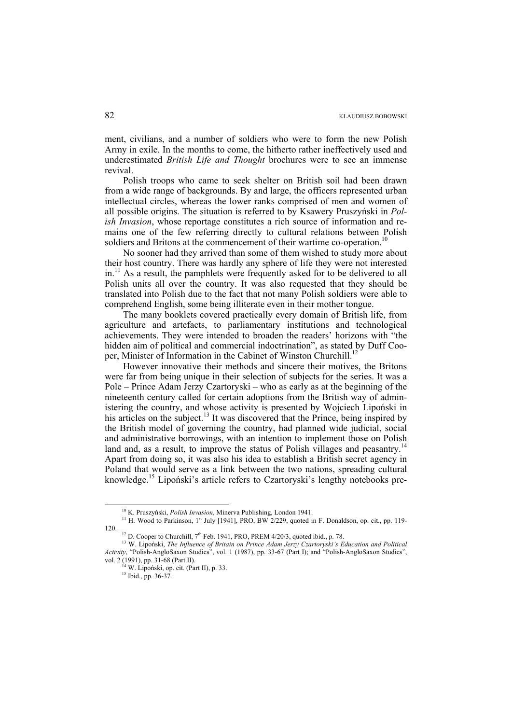ment, civilians, and a number of soldiers who were to form the new Polish Army in exile. In the months to come, the hitherto rather ineffectively used and underestimated *British Life and Thought* brochures were to see an immense revival.

Polish troops who came to seek shelter on British soil had been drawn from a wide range of backgrounds. By and large, the officers represented urban intellectual circles, whereas the lower ranks comprised of men and women of all possible origins. The situation is referred to by Ksawery Pruszyński in *Polish Invasion*, whose reportage constitutes a rich source of information and remains one of the few referring directly to cultural relations between Polish soldiers and Britons at the commencement of their wartime co-operation.<sup>1</sup>

No sooner had they arrived than some of them wished to study more about their host country. There was hardly any sphere of life they were not interested  $\text{in.}^{11}$  As a result, the pamphlets were frequently asked for to be delivered to all Polish units all over the country. It was also requested that they should be translated into Polish due to the fact that not many Polish soldiers were able to comprehend English, some being illiterate even in their mother tongue.

The many booklets covered practically every domain of British life, from agriculture and artefacts, to parliamentary institutions and technological achievements. They were intended to broaden the readers' horizons with "the hidden aim of political and commercial indoctrination", as stated by Duff Cooper, Minister of Information in the Cabinet of Winston Churchill.<sup>12</sup>

However innovative their methods and sincere their motives, the Britons were far from being unique in their selection of subjects for the series. It was a Pole – Prince Adam Jerzy Czartoryski – who as early as at the beginning of the nineteenth century called for certain adoptions from the British way of administering the country, and whose activity is presented by Wojciech Lipoński in his articles on the subject.<sup>13</sup> It was discovered that the Prince, being inspired by the British model of governing the country, had planned wide judicial, social and administrative borrowings, with an intention to implement those on Polish land and, as a result, to improve the status of Polish villages and peasantry.<sup>14</sup> Apart from doing so, it was also his idea to establish a British secret agency in Poland that would serve as a link between the two nations, spreading cultural knowledge.15 Lipoński's article refers to Czartoryski's lengthy notebooks pre-

<sup>&</sup>lt;sup>10</sup> K. Pruszyński, *Polish Invasion*, Minerva Publishing, London 1941.<br><sup>11</sup> H. Wood to Parkinson, 1<sup>st</sup> July [1941], PRO, BW 2/229, quoted in F. Donaldson, op. cit., pp. 119-

<sup>&</sup>lt;sup>12</sup> D. Cooper to Churchill, 7<sup>th</sup> Feb. 1941, PRO, PREM 4/20/3, quoted ibid., p. 78.<br><sup>13</sup> W. Lipoński, *The Influence of Britain on Prince Adam Jerzy Czartoryski's Education and Political Activity*, "Polish-AngloSaxon Studies", vol. 1 (1987), pp. 33-67 (Part I); and "Polish-AngloSaxon Studies", vol. 2 (1991), pp. 31-68 (Part II).

<sup>&</sup>lt;sup>14</sup> W. Lipoński, op. cit. (Part II), p. 33. <sup>15</sup> Ibid., pp. 36-37.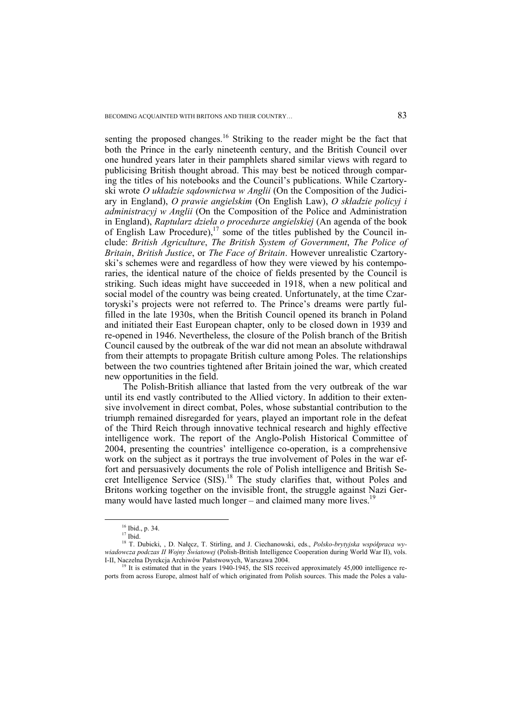senting the proposed changes.<sup>16</sup> Striking to the reader might be the fact that both the Prince in the early nineteenth century, and the British Council over one hundred years later in their pamphlets shared similar views with regard to publicising British thought abroad. This may best be noticed through comparing the titles of his notebooks and the Council's publications. While Czartoryski wrote *O układzie sądownictwa w Anglii* (On the Composition of the Judiciary in England), *O prawie angielskim* (On English Law), *O składzie policyj i administracyj w Anglii* (On the Composition of the Police and Administration in England), *Raptularz dzieła o procedurze angielskiej* (An agenda of the book of English Law Procedure),<sup>17</sup> some of the titles published by the Council include: *British Agriculture*, *The British System of Government*, *The Police of Britain*, *British Justice*, or *The Face of Britain*. However unrealistic Czartoryski's schemes were and regardless of how they were viewed by his contemporaries, the identical nature of the choice of fields presented by the Council is striking. Such ideas might have succeeded in 1918, when a new political and social model of the country was being created. Unfortunately, at the time Czartoryski's projects were not referred to. The Prince's dreams were partly fulfilled in the late 1930s, when the British Council opened its branch in Poland and initiated their East European chapter, only to be closed down in 1939 and re-opened in 1946. Nevertheless, the closure of the Polish branch of the British Council caused by the outbreak of the war did not mean an absolute withdrawal from their attempts to propagate British culture among Poles. The relationships between the two countries tightened after Britain joined the war, which created new opportunities in the field.

The Polish-British alliance that lasted from the very outbreak of the war until its end vastly contributed to the Allied victory. In addition to their extensive involvement in direct combat, Poles, whose substantial contribution to the triumph remained disregarded for years, played an important role in the defeat of the Third Reich through innovative technical research and highly effective intelligence work. The report of the Anglo-Polish Historical Committee of 2004, presenting the countries' intelligence co-operation, is a comprehensive work on the subject as it portrays the true involvement of Poles in the war effort and persuasively documents the role of Polish intelligence and British Secret Intelligence Service (SIS).<sup>18</sup> The study clarifies that, without Poles and Britons working together on the invisible front, the struggle against Nazi Germany would have lasted much longer – and claimed many more lives.<sup>1</sup>

<sup>&</sup>lt;sup>16</sup> Ibid., p. 34.

 $17$  Ibid.

<sup>18</sup> T. Dubicki, , D. Nałęcz, T. Stirling, and J. Ciechanowski, eds., *Polsko-brytyjska współpraca wywiadowcza podczas II Wojny Światowej* (Polish-British Intelligence Cooperation during World War II), vols.

<sup>&</sup>lt;sup>19</sup> It is estimated that in the years 1940-1945, the SIS received approximately 45,000 intelligence reports from across Europe, almost half of which originated from Polish sources. This made the Poles a valu-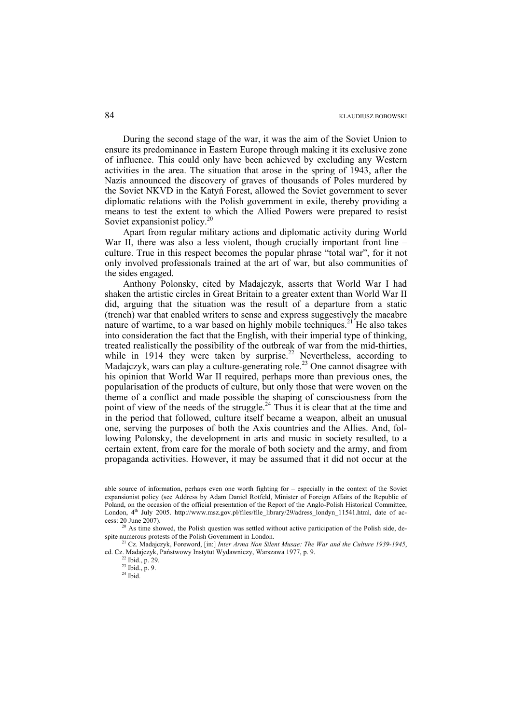During the second stage of the war, it was the aim of the Soviet Union to ensure its predominance in Eastern Europe through making it its exclusive zone of influence. This could only have been achieved by excluding any Western activities in the area. The situation that arose in the spring of 1943, after the Nazis announced the discovery of graves of thousands of Poles murdered by the Soviet NKVD in the Katyń Forest, allowed the Soviet government to sever diplomatic relations with the Polish government in exile, thereby providing a means to test the extent to which the Allied Powers were prepared to resist Soviet expansionist policy.<sup>20</sup>

Apart from regular military actions and diplomatic activity during World War II, there was also a less violent, though crucially important front line – culture. True in this respect becomes the popular phrase "total war", for it not only involved professionals trained at the art of war, but also communities of the sides engaged.

Anthony Polonsky, cited by Madajczyk, asserts that World War I had shaken the artistic circles in Great Britain to a greater extent than World War II did, arguing that the situation was the result of a departure from a static (trench) war that enabled writers to sense and express suggestively the macabre nature of wartime, to a war based on highly mobile techniques.<sup>21</sup> He also takes into consideration the fact that the English, with their imperial type of thinking, treated realistically the possibility of the outbreak of war from the mid-thirties, while in 1914 they were taken by surprise.<sup>22</sup> Nevertheless, according to Madajczyk, wars can play a culture-generating role.<sup>23</sup> One cannot disagree with his opinion that World War II required, perhaps more than previous ones, the popularisation of the products of culture, but only those that were woven on the theme of a conflict and made possible the shaping of consciousness from the point of view of the needs of the struggle.<sup>24</sup> Thus it is clear that at the time and in the period that followed, culture itself became a weapon, albeit an unusual one, serving the purposes of both the Axis countries and the Allies. And, following Polonsky, the development in arts and music in society resulted, to a certain extent, from care for the morale of both society and the army, and from propaganda activities. However, it may be assumed that it did not occur at the

1

able source of information, perhaps even one worth fighting for – especially in the context of the Soviet expansionist policy (see Address by Adam Daniel Rotfeld, Minister of Foreign Affairs of the Republic of Poland, on the occasion of the official presentation of the Report of the Anglo-Polish Historical Committee, London, 4<sup>th</sup> July 2005. http://www.msz.gov.pl/files/file\_library/29/adress\_londyn\_11541.html, date of ac-

cess: 20 June 2007). <sup>20</sup> As time showed, the Polish question was settled without active participation of the Polish side, despite numerous protests of the Polish Government in London.

<sup>&</sup>lt;sup>1</sup> Cz. Madajczyk, Foreword, [in:] *Inter Arma Non Silent Musae: The War and the Culture 1939-1945*, ed. Cz. Madajczyk, Państwowy Instytut Wydawniczy, Warszawa 1977, p. 9. <sup>22</sup> Ibid., p. 29.

<sup>23</sup> Ibid., p. 9.

 $24$  Ibid.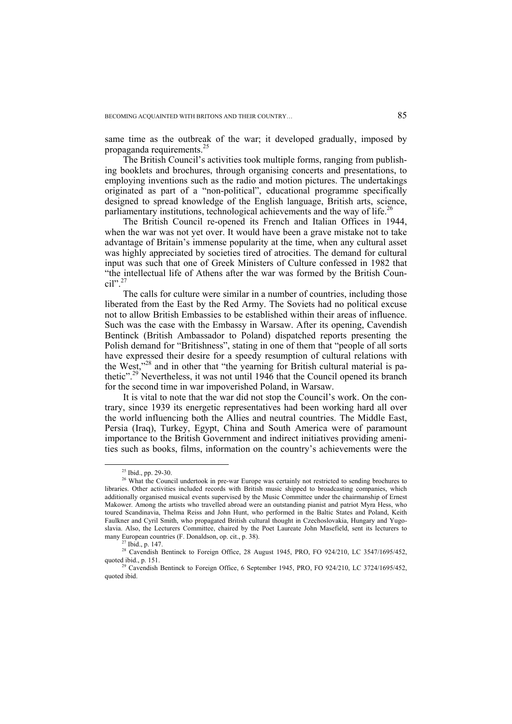same time as the outbreak of the war; it developed gradually, imposed by propaganda requirements.<sup>25</sup>

The British Council's activities took multiple forms, ranging from publishing booklets and brochures, through organising concerts and presentations, to employing inventions such as the radio and motion pictures. The undertakings originated as part of a "non-political", educational programme specifically designed to spread knowledge of the English language, British arts, science, parliamentary institutions, technological achievements and the way of life.<sup>26</sup>

The British Council re-opened its French and Italian Offices in 1944, when the war was not yet over. It would have been a grave mistake not to take advantage of Britain's immense popularity at the time, when any cultural asset was highly appreciated by societies tired of atrocities. The demand for cultural input was such that one of Greek Ministers of Culture confessed in 1982 that "the intellectual life of Athens after the war was formed by the British Council".<sup>27</sup>

The calls for culture were similar in a number of countries, including those liberated from the East by the Red Army. The Soviets had no political excuse not to allow British Embassies to be established within their areas of influence. Such was the case with the Embassy in Warsaw. After its opening, Cavendish Bentinck (British Ambassador to Poland) dispatched reports presenting the Polish demand for "Britishness", stating in one of them that "people of all sorts have expressed their desire for a speedy resumption of cultural relations with the West,"28 and in other that "the yearning for British cultural material is pathetic".<sup>29</sup> Nevertheless, it was not until 1946 that the Council opened its branch for the second time in war impoverished Poland, in Warsaw.

It is vital to note that the war did not stop the Council's work. On the contrary, since 1939 its energetic representatives had been working hard all over the world influencing both the Allies and neutral countries. The Middle East, Persia (Iraq), Turkey, Egypt, China and South America were of paramount importance to the British Government and indirect initiatives providing amenities such as books, films, information on the country's achievements were the

 <sup>25</sup> Ibid., pp. 29-30.

<sup>&</sup>lt;sup>26</sup> What the Council undertook in pre-war Europe was certainly not restricted to sending brochures to libraries. Other activities included records with British music shipped to broadcasting companies, which additionally organised musical events supervised by the Music Committee under the chairmanship of Ernest Makower. Among the artists who travelled abroad were an outstanding pianist and patriot Myra Hess, who toured Scandinavia, Thelma Reiss and John Hunt, who performed in the Baltic States and Poland, Keith Faulkner and Cyril Smith, who propagated British cultural thought in Czechoslovakia, Hungary and Yugoslavia. Also, the Lecturers Committee, chaired by the Poet Laureate John Masefield, sent its lecturers to many European countries (F. Donaldson, op. cit., p. 38).<br><sup>27</sup> Ibid., p. 147.

<sup>&</sup>lt;sup>28</sup> Cavendish Bentinck to Foreign Office, 28 August 1945, PRO, FO 924/210, LC 3547/1695/452, quoted ibid., p. 151.

<sup>&</sup>lt;sup>29</sup> Cavendish Bentinck to Foreign Office, 6 September 1945, PRO, FO 924/210, LC 3724/1695/452, quoted ibid.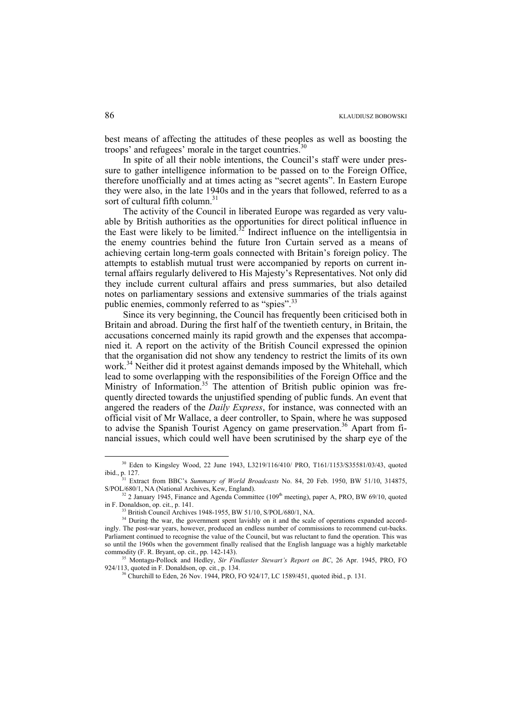best means of affecting the attitudes of these peoples as well as boosting the troops' and refugees' morale in the target countries.<sup>3</sup>

In spite of all their noble intentions, the Council's staff were under pressure to gather intelligence information to be passed on to the Foreign Office, therefore unofficially and at times acting as "secret agents". In Eastern Europe they were also, in the late 1940s and in the years that followed, referred to as a sort of cultural fifth column.<sup>31</sup>

The activity of the Council in liberated Europe was regarded as very valuable by British authorities as the opportunities for direct political influence in the East were likely to be limited.<sup>32</sup> Indirect influence on the intelligentsia in the enemy countries behind the future Iron Curtain served as a means of achieving certain long-term goals connected with Britain's foreign policy. The attempts to establish mutual trust were accompanied by reports on current internal affairs regularly delivered to His Majesty's Representatives. Not only did they include current cultural affairs and press summaries, but also detailed notes on parliamentary sessions and extensive summaries of the trials against public enemies, commonly referred to as "spies".<sup>33</sup>

Since its very beginning, the Council has frequently been criticised both in Britain and abroad. During the first half of the twentieth century, in Britain, the accusations concerned mainly its rapid growth and the expenses that accompanied it. A report on the activity of the British Council expressed the opinion that the organisation did not show any tendency to restrict the limits of its own work.<sup>34</sup> Neither did it protest against demands imposed by the Whitehall, which lead to some overlapping with the responsibilities of the Foreign Office and the Ministry of Information.<sup>35</sup> The attention of British public opinion was frequently directed towards the unjustified spending of public funds. An event that angered the readers of the *Daily Express*, for instance, was connected with an official visit of Mr Wallace, a deer controller, to Spain, where he was supposed to advise the Spanish Tourist Agency on game preservation.<sup>36</sup> Apart from financial issues, which could well have been scrutinised by the sharp eye of the

<sup>&</sup>lt;sup>30</sup> Eden to Kingsley Wood, 22 June 1943, L3219/116/410/ PRO, T161/1153/S35581/03/43, quoted ibid., p. 127. 31 Extract from BBC's *Summary of World Broadcasts* No. 84, 20 Feb. 1950, BW 51/10, 314875,

S/POL/680/1, NA (National Archives, Kew, England).<br><sup>32</sup> 2 January 1945, Finance and Agenda Committee (109<sup>th</sup> meeting), paper A, PRO, BW 69/10, quoted in F. Donaldson, op. cit., p. 141.

<sup>&</sup>lt;sup>33</sup> British Council Archives 1948-1955, BW 51/10, S/POL/680/1, NA.  $\frac{34}{34}$  During the war, the government spent lavishly on it and the scale of operations expanded accordingly. The post-war years, however, produced an endless number of commissions to recommend cut-backs. Parliament continued to recognise the value of the Council, but was reluctant to fund the operation. This was so until the 1960s when the government finally realised that the English language was a highly marketable commodity (F. R. Bryant, op. cit., pp. 142-143).<br><sup>35</sup> Montagu-Pollock and Hedley, *Sir Findlaster Stewart's Report on BC*, 26 Apr. 1945, PRO, FO

<sup>924/113,</sup> quoted in F. Donaldson, op. cit., p. 134.<br><sup>36</sup> Churchill to Eden, 26 Nov. 1944, PRO, FO 924/17, LC 1589/451, quoted ibid., p. 131.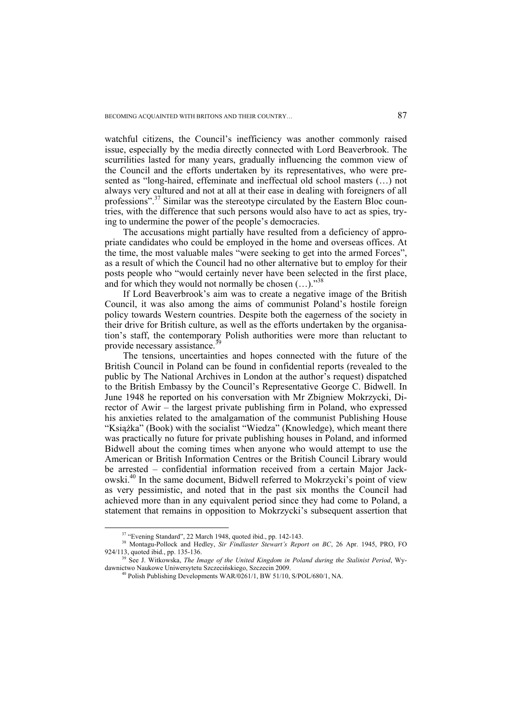watchful citizens, the Council's inefficiency was another commonly raised issue, especially by the media directly connected with Lord Beaverbrook. The scurrilities lasted for many years, gradually influencing the common view of the Council and the efforts undertaken by its representatives, who were presented as "long-haired, effeminate and ineffectual old school masters (…) not always very cultured and not at all at their ease in dealing with foreigners of all professions".<sup>37</sup> Similar was the stereotype circulated by the Eastern Bloc countries, with the difference that such persons would also have to act as spies, trying to undermine the power of the people's democracies.

The accusations might partially have resulted from a deficiency of appropriate candidates who could be employed in the home and overseas offices. At the time, the most valuable males "were seeking to get into the armed Forces", as a result of which the Council had no other alternative but to employ for their posts people who "would certainly never have been selected in the first place, and for which they would not normally be chosen  $(...)$ ."<sup>38</sup>

If Lord Beaverbrook's aim was to create a negative image of the British Council, it was also among the aims of communist Poland's hostile foreign policy towards Western countries. Despite both the eagerness of the society in their drive for British culture, as well as the efforts undertaken by the organisation's staff, the contemporary Polish authorities were more than reluctant to provide necessary assistance.<sup>3</sup>

The tensions, uncertainties and hopes connected with the future of the British Council in Poland can be found in confidential reports (revealed to the public by The National Archives in London at the author's request) dispatched to the British Embassy by the Council's Representative George C. Bidwell. In June 1948 he reported on his conversation with Mr Zbigniew Mokrzycki, Director of Awir – the largest private publishing firm in Poland, who expressed his anxieties related to the amalgamation of the communist Publishing House "Książka" (Book) with the socialist "Wiedza" (Knowledge), which meant there was practically no future for private publishing houses in Poland, and informed Bidwell about the coming times when anyone who would attempt to use the American or British Information Centres or the British Council Library would be arrested – confidential information received from a certain Major Jackowski.40 In the same document, Bidwell referred to Mokrzycki's point of view as very pessimistic, and noted that in the past six months the Council had achieved more than in any equivalent period since they had come to Poland, a statement that remains in opposition to Mokrzycki's subsequent assertion that

 <sup>37 &</sup>quot;Evening Standard", 22 March 1948, quoted ibid., pp. 142-143.

<sup>&</sup>lt;sup>38</sup> Montagu-Pollock and Hedley, *Sir Findlaster Stewart's Report on BC*, 26 Apr. 1945, PRO, FO 924/113, quoted ibid., pp. 135-136. 39 See J. Witkowska, *The Image of the United Kingdom in Poland during the Stalinist Period*, Wy-

dawnictwo Naukowe Uniwersytetu Szczecińskiego, Szczecin 2009. 40 Polish Publishing Developments WAR/0261/1, BW 51/10, S/POL/680/1, NA.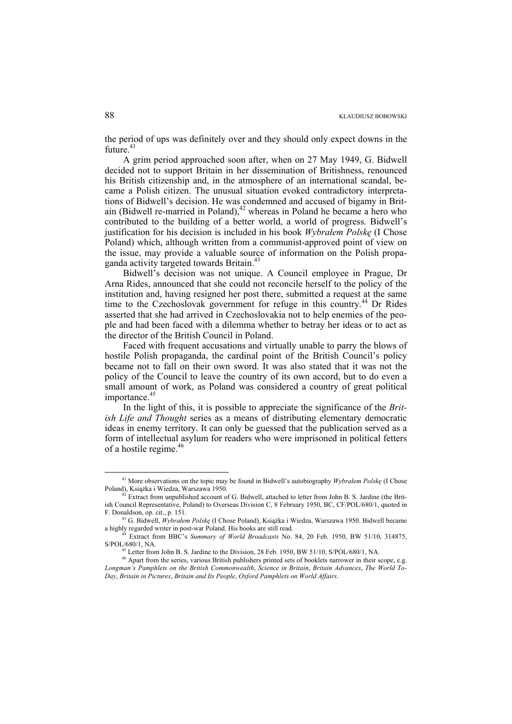the period of ups was definitely over and they should only expect downs in the future.<sup>41</sup>

A grim period approached soon after, when on 27 May 1949, G. Bidwell decided not to support Britain in her dissemination of Britishness, renounced his British citizenship and, in the atmosphere of an international scandal, became a Polish citizen. The unusual situation evoked contradictory interpretations of Bidwell's decision. He was condemned and accused of bigamy in Britain (Bidwell re-married in Poland), $42$  whereas in Poland he became a hero who contributed to the building of a better world, a world of progress. Bidwell's justification for his decision is included in his book *Wybrałem Polskę* (I Chose Poland) which, although written from a communist-approved point of view on the issue, may provide a valuable source of information on the Polish propaganda activity targeted towards Britain.<sup>43</sup>

Bidwell's decision was not unique. A Council employee in Prague, Dr Arna Rides, announced that she could not reconcile herself to the policy of the institution and, having resigned her post there, submitted a request at the same time to the Czechoslovak government for refuge in this country.<sup>44</sup> Dr Rides asserted that she had arrived in Czechoslovakia not to help enemies of the people and had been faced with a dilemma whether to betray her ideas or to act as the director of the British Council in Poland.

Faced with frequent accusations and virtually unable to parry the blows of hostile Polish propaganda, the cardinal point of the British Council's policy became not to fall on their own sword. It was also stated that it was not the policy of the Council to leave the country of its own accord, but to do even a small amount of work, as Poland was considered a country of great political importance.<sup>45</sup>

In the light of this, it is possible to appreciate the significance of the *British Life and Thought* series as a means of distributing elementary democratic ideas in enemy territory. It can only be guessed that the publication served as a form of intellectual asylum for readers who were imprisoned in political fetters of a hostile regime.<sup>46</sup>

 <sup>41</sup> More observations on the topic may be found in Bidwell's autobiography *Wybrałem Polsk<sup>ę</sup>* (I Chose Poland), Książka i Wiedza, Warszawa 1950. 42 Extract from unpublished account of G. Bidwell, attached to letter from John B. S. Jardine (the Brit-

ish Council Representative, Poland) to Overseas Division C, 8 February 1950, BC, CF/POL/680/1, quoted in

F. Donaldson, op. cit., p. 151. 43 G. Bidwell, *Wybrałem Polsk<sup>ę</sup>* (I Chose Poland), Książka i Wiedza, Warszawa 1950. Bidwell became

<sup>&</sup>lt;sup>44</sup> Extract from BBC's *Summary of World Broadcasts* No. 84, 20 Feb. 1950, BW 51/10, 314875, S/POL/680/1, NA.

<sup>&</sup>lt;sup>45</sup> Letter from John B. S. Jardine to the Division, 28 Feb. 1950, BW 51/10, S/POL/680/1, NA. <sup>46</sup> Apart from the series, various British publishers printed sets of booklets narrower in their scope, e.g.

*Longman's Pamphlets on the British Commonwealth*, *Science in Britain*, *Britain Advances*, *The World To-Day*, *Britain in Pictures*, *Britain and Its People*, *Oxford Pamphlets on World Affairs*.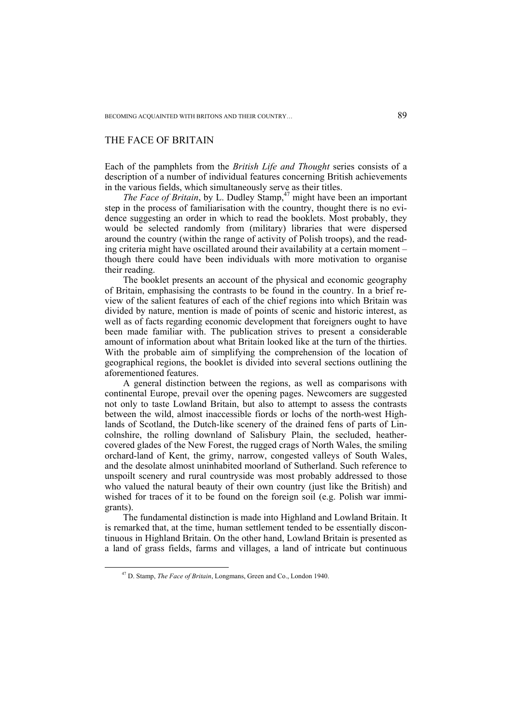## THE FACE OF BRITAIN

Each of the pamphlets from the *British Life and Thought* series consists of a description of a number of individual features concerning British achievements in the various fields, which simultaneously serve as their titles.

*The Face of Britain*, by L. Dudley Stamp,<sup>47</sup> might have been an important step in the process of familiarisation with the country, thought there is no evidence suggesting an order in which to read the booklets. Most probably, they would be selected randomly from (military) libraries that were dispersed around the country (within the range of activity of Polish troops), and the reading criteria might have oscillated around their availability at a certain moment – though there could have been individuals with more motivation to organise their reading.

The booklet presents an account of the physical and economic geography of Britain, emphasising the contrasts to be found in the country. In a brief review of the salient features of each of the chief regions into which Britain was divided by nature, mention is made of points of scenic and historic interest, as well as of facts regarding economic development that foreigners ought to have been made familiar with. The publication strives to present a considerable amount of information about what Britain looked like at the turn of the thirties. With the probable aim of simplifying the comprehension of the location of geographical regions, the booklet is divided into several sections outlining the aforementioned features.

A general distinction between the regions, as well as comparisons with continental Europe, prevail over the opening pages. Newcomers are suggested not only to taste Lowland Britain, but also to attempt to assess the contrasts between the wild, almost inaccessible fiords or lochs of the north-west Highlands of Scotland, the Dutch-like scenery of the drained fens of parts of Lincolnshire, the rolling downland of Salisbury Plain, the secluded, heathercovered glades of the New Forest, the rugged crags of North Wales, the smiling orchard-land of Kent, the grimy, narrow, congested valleys of South Wales, and the desolate almost uninhabited moorland of Sutherland. Such reference to unspoilt scenery and rural countryside was most probably addressed to those who valued the natural beauty of their own country (just like the British) and wished for traces of it to be found on the foreign soil (e.g. Polish war immigrants).

The fundamental distinction is made into Highland and Lowland Britain. It is remarked that, at the time, human settlement tended to be essentially discontinuous in Highland Britain. On the other hand, Lowland Britain is presented as a land of grass fields, farms and villages, a land of intricate but continuous

 <sup>47</sup> D. Stamp, *The Face of Britain*, Longmans, Green and Co., London 1940.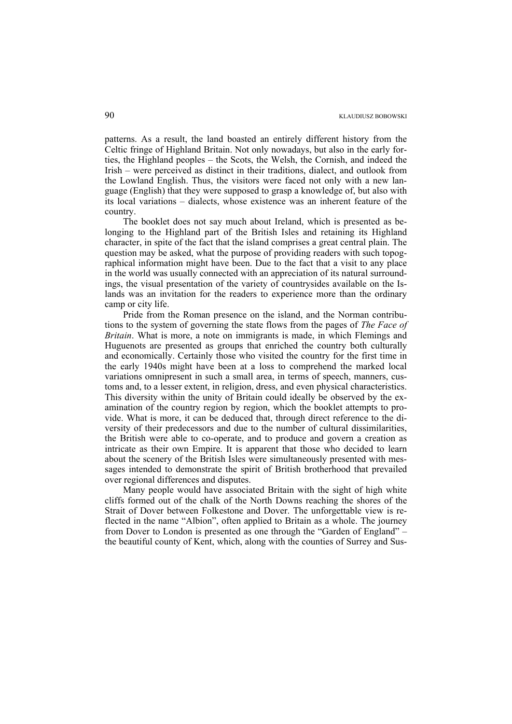patterns. As a result, the land boasted an entirely different history from the Celtic fringe of Highland Britain. Not only nowadays, but also in the early forties, the Highland peoples – the Scots, the Welsh, the Cornish, and indeed the Irish – were perceived as distinct in their traditions, dialect, and outlook from the Lowland English. Thus, the visitors were faced not only with a new language (English) that they were supposed to grasp a knowledge of, but also with its local variations – dialects, whose existence was an inherent feature of the country.

The booklet does not say much about Ireland, which is presented as belonging to the Highland part of the British Isles and retaining its Highland character, in spite of the fact that the island comprises a great central plain. The question may be asked, what the purpose of providing readers with such topographical information might have been. Due to the fact that a visit to any place in the world was usually connected with an appreciation of its natural surroundings, the visual presentation of the variety of countrysides available on the Islands was an invitation for the readers to experience more than the ordinary camp or city life.

Pride from the Roman presence on the island, and the Norman contributions to the system of governing the state flows from the pages of *The Face of Britain*. What is more, a note on immigrants is made, in which Flemings and Huguenots are presented as groups that enriched the country both culturally and economically. Certainly those who visited the country for the first time in the early 1940s might have been at a loss to comprehend the marked local variations omnipresent in such a small area, in terms of speech, manners, customs and, to a lesser extent, in religion, dress, and even physical characteristics. This diversity within the unity of Britain could ideally be observed by the examination of the country region by region, which the booklet attempts to provide. What is more, it can be deduced that, through direct reference to the diversity of their predecessors and due to the number of cultural dissimilarities, the British were able to co-operate, and to produce and govern a creation as intricate as their own Empire. It is apparent that those who decided to learn about the scenery of the British Isles were simultaneously presented with messages intended to demonstrate the spirit of British brotherhood that prevailed over regional differences and disputes.

Many people would have associated Britain with the sight of high white cliffs formed out of the chalk of the North Downs reaching the shores of the Strait of Dover between Folkestone and Dover. The unforgettable view is reflected in the name "Albion", often applied to Britain as a whole. The journey from Dover to London is presented as one through the "Garden of England" – the beautiful county of Kent, which, along with the counties of Surrey and Sus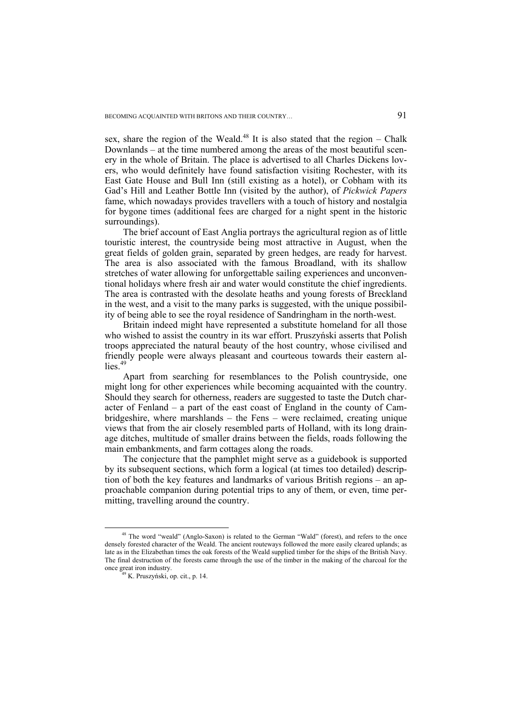sex, share the region of the Weald.<sup>48</sup> It is also stated that the region – Chalk Downlands – at the time numbered among the areas of the most beautiful scenery in the whole of Britain. The place is advertised to all Charles Dickens lovers, who would definitely have found satisfaction visiting Rochester, with its East Gate House and Bull Inn (still existing as a hotel), or Cobham with its Gad's Hill and Leather Bottle Inn (visited by the author), of *Pickwick Papers*  fame, which nowadays provides travellers with a touch of history and nostalgia for bygone times (additional fees are charged for a night spent in the historic surroundings).

The brief account of East Anglia portrays the agricultural region as of little touristic interest, the countryside being most attractive in August, when the great fields of golden grain, separated by green hedges, are ready for harvest. The area is also associated with the famous Broadland, with its shallow stretches of water allowing for unforgettable sailing experiences and unconventional holidays where fresh air and water would constitute the chief ingredients. The area is contrasted with the desolate heaths and young forests of Breckland in the west, and a visit to the many parks is suggested, with the unique possibility of being able to see the royal residence of Sandringham in the north-west.

Britain indeed might have represented a substitute homeland for all those who wished to assist the country in its war effort. Pruszyński asserts that Polish troops appreciated the natural beauty of the host country, whose civilised and friendly people were always pleasant and courteous towards their eastern allies $49$ 

Apart from searching for resemblances to the Polish countryside, one might long for other experiences while becoming acquainted with the country. Should they search for otherness, readers are suggested to taste the Dutch character of Fenland – a part of the east coast of England in the county of Cambridgeshire, where marshlands – the Fens – were reclaimed, creating unique views that from the air closely resembled parts of Holland, with its long drainage ditches, multitude of smaller drains between the fields, roads following the main embankments, and farm cottages along the roads.

The conjecture that the pamphlet might serve as a guidebook is supported by its subsequent sections, which form a logical (at times too detailed) description of both the key features and landmarks of various British regions – an approachable companion during potential trips to any of them, or even, time permitting, travelling around the country.

<sup>&</sup>lt;sup>48</sup> The word "weald" (Anglo-Saxon) is related to the German "Wald" (forest), and refers to the once densely forested character of the Weald. The ancient routeways followed the more easily cleared uplands; as late as in the Elizabethan times the oak forests of the Weald supplied timber for the ships of the British Navy. The final destruction of the forests came through the use of the timber in the making of the charcoal for the once great iron industry. 49 K. Pruszyński, op. cit., p. 14.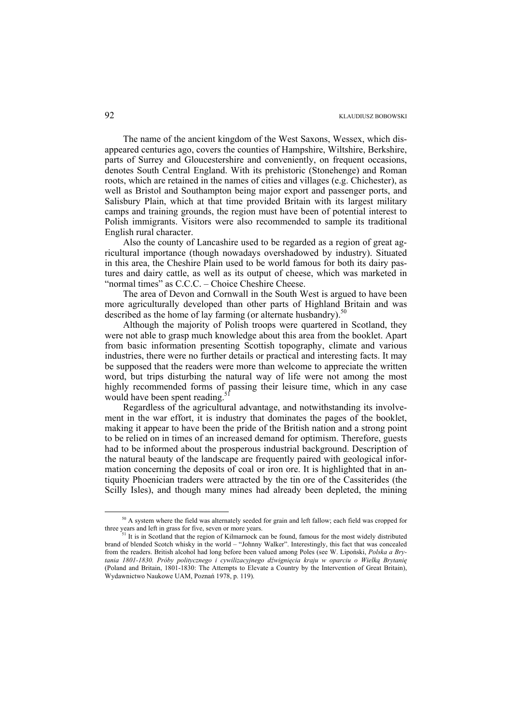The name of the ancient kingdom of the West Saxons, Wessex, which disappeared centuries ago, covers the counties of Hampshire, Wiltshire, Berkshire, parts of Surrey and Gloucestershire and conveniently, on frequent occasions, denotes South Central England. With its prehistoric (Stonehenge) and Roman roots, which are retained in the names of cities and villages (e.g. Chichester), as well as Bristol and Southampton being major export and passenger ports, and Salisbury Plain, which at that time provided Britain with its largest military camps and training grounds, the region must have been of potential interest to Polish immigrants. Visitors were also recommended to sample its traditional English rural character.

Also the county of Lancashire used to be regarded as a region of great agricultural importance (though nowadays overshadowed by industry). Situated in this area, the Cheshire Plain used to be world famous for both its dairy pastures and dairy cattle, as well as its output of cheese, which was marketed in "normal times" as C.C.C. – Choice Cheshire Cheese.

The area of Devon and Cornwall in the South West is argued to have been more agriculturally developed than other parts of Highland Britain and was described as the home of lay farming (or alternate husbandry).<sup>50</sup>

Although the majority of Polish troops were quartered in Scotland, they were not able to grasp much knowledge about this area from the booklet. Apart from basic information presenting Scottish topography, climate and various industries, there were no further details or practical and interesting facts. It may be supposed that the readers were more than welcome to appreciate the written word, but trips disturbing the natural way of life were not among the most highly recommended forms of passing their leisure time, which in any case would have been spent reading.<sup>5</sup>

Regardless of the agricultural advantage, and notwithstanding its involvement in the war effort, it is industry that dominates the pages of the booklet, making it appear to have been the pride of the British nation and a strong point to be relied on in times of an increased demand for optimism. Therefore, guests had to be informed about the prosperous industrial background. Description of the natural beauty of the landscape are frequently paired with geological information concerning the deposits of coal or iron ore. It is highlighted that in antiquity Phoenician traders were attracted by the tin ore of the Cassiterides (the Scilly Isles), and though many mines had already been depleted, the mining

<sup>&</sup>lt;sup>50</sup> A system where the field was alternately seeded for grain and left fallow; each field was cropped for three years and left in grass for five, seven or more years.

<sup>&</sup>lt;sup>51</sup> It is in Scotland that the region of Kilmarnock can be found, famous for the most widely distributed brand of blended Scotch whisky in the world – "Johnny Walker". Interestingly, this fact that was concealed from the readers. British alcohol had long before been valued among Poles (see W. Lipoński, *Polska a Brytania 1801-1830. Próby politycznego i cywilizacyjnego dźwignięcia kraju w oparciu o Wielką Brytanię* (Poland and Britain, 1801-1830: The Attempts to Elevate a Country by the Intervention of Great Britain), Wydawnictwo Naukowe UAM, Poznań 1978, p. 119).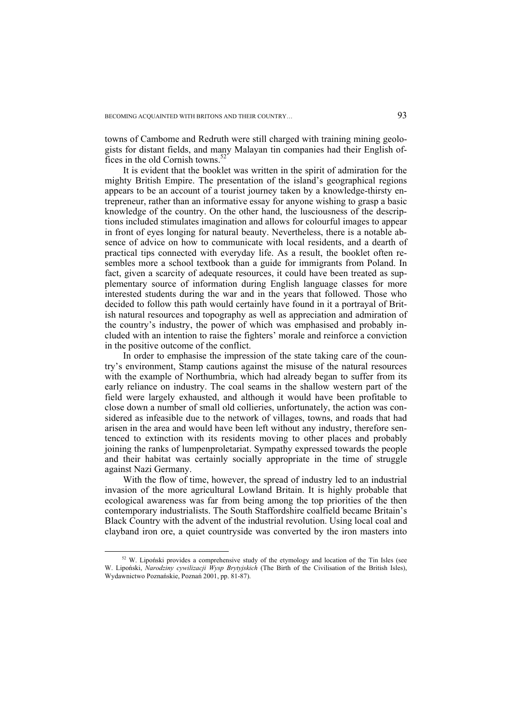towns of Cambome and Redruth were still charged with training mining geologists for distant fields, and many Malayan tin companies had their English offices in the old Cornish towns.<sup>52</sup>

It is evident that the booklet was written in the spirit of admiration for the mighty British Empire. The presentation of the island's geographical regions appears to be an account of a tourist journey taken by a knowledge-thirsty entrepreneur, rather than an informative essay for anyone wishing to grasp a basic knowledge of the country. On the other hand, the lusciousness of the descriptions included stimulates imagination and allows for colourful images to appear in front of eyes longing for natural beauty. Nevertheless, there is a notable absence of advice on how to communicate with local residents, and a dearth of practical tips connected with everyday life. As a result, the booklet often resembles more a school textbook than a guide for immigrants from Poland. In fact, given a scarcity of adequate resources, it could have been treated as supplementary source of information during English language classes for more interested students during the war and in the years that followed. Those who decided to follow this path would certainly have found in it a portrayal of British natural resources and topography as well as appreciation and admiration of the country's industry, the power of which was emphasised and probably included with an intention to raise the fighters' morale and reinforce a conviction in the positive outcome of the conflict.

In order to emphasise the impression of the state taking care of the country's environment, Stamp cautions against the misuse of the natural resources with the example of Northumbria, which had already began to suffer from its early reliance on industry. The coal seams in the shallow western part of the field were largely exhausted, and although it would have been profitable to close down a number of small old collieries, unfortunately, the action was considered as infeasible due to the network of villages, towns, and roads that had arisen in the area and would have been left without any industry, therefore sentenced to extinction with its residents moving to other places and probably joining the ranks of lumpenproletariat. Sympathy expressed towards the people and their habitat was certainly socially appropriate in the time of struggle against Nazi Germany.

With the flow of time, however, the spread of industry led to an industrial invasion of the more agricultural Lowland Britain. It is highly probable that ecological awareness was far from being among the top priorities of the then contemporary industrialists. The South Staffordshire coalfield became Britain's Black Country with the advent of the industrial revolution. Using local coal and clayband iron ore, a quiet countryside was converted by the iron masters into

 $52$  W. Lipoński provides a comprehensive study of the etymology and location of the Tin Isles (see W. Lipoński, *Narodziny cywilizacji Wysp Brytyjskich* (The Birth of the Civilisation of the British Isles), Wydawnictwo Poznańskie, Poznań 2001, pp. 81-87).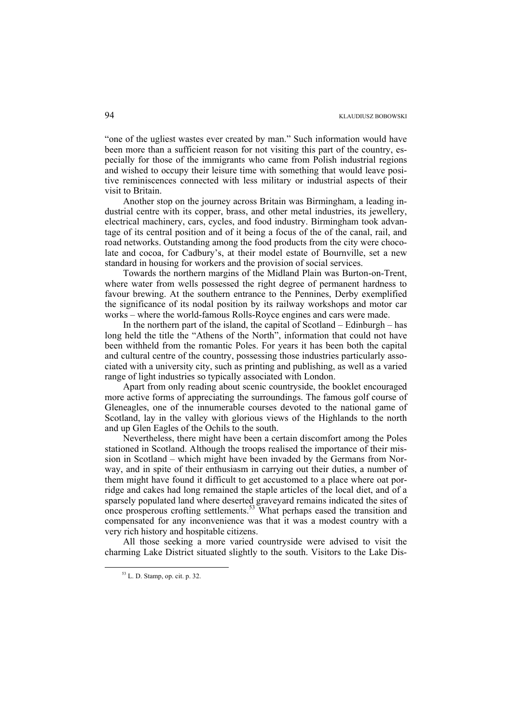"one of the ugliest wastes ever created by man." Such information would have been more than a sufficient reason for not visiting this part of the country, especially for those of the immigrants who came from Polish industrial regions and wished to occupy their leisure time with something that would leave positive reminiscences connected with less military or industrial aspects of their visit to Britain.

Another stop on the journey across Britain was Birmingham, a leading industrial centre with its copper, brass, and other metal industries, its jewellery, electrical machinery, cars, cycles, and food industry. Birmingham took advantage of its central position and of it being a focus of the of the canal, rail, and road networks. Outstanding among the food products from the city were chocolate and cocoa, for Cadbury's, at their model estate of Bournville, set a new standard in housing for workers and the provision of social services.

Towards the northern margins of the Midland Plain was Burton-on-Trent, where water from wells possessed the right degree of permanent hardness to favour brewing. At the southern entrance to the Pennines, Derby exemplified the significance of its nodal position by its railway workshops and motor car works – where the world-famous Rolls-Royce engines and cars were made.

In the northern part of the island, the capital of Scotland – Edinburgh – has long held the title the "Athens of the North", information that could not have been withheld from the romantic Poles. For years it has been both the capital and cultural centre of the country, possessing those industries particularly associated with a university city, such as printing and publishing, as well as a varied range of light industries so typically associated with London.

Apart from only reading about scenic countryside, the booklet encouraged more active forms of appreciating the surroundings. The famous golf course of Gleneagles, one of the innumerable courses devoted to the national game of Scotland, lay in the valley with glorious views of the Highlands to the north and up Glen Eagles of the Ochils to the south.

Nevertheless, there might have been a certain discomfort among the Poles stationed in Scotland. Although the troops realised the importance of their mission in Scotland – which might have been invaded by the Germans from Norway, and in spite of their enthusiasm in carrying out their duties, a number of them might have found it difficult to get accustomed to a place where oat porridge and cakes had long remained the staple articles of the local diet, and of a sparsely populated land where deserted graveyard remains indicated the sites of once prosperous crofting settlements.<sup>53</sup> What perhaps eased the transition and compensated for any inconvenience was that it was a modest country with a very rich history and hospitable citizens.

All those seeking a more varied countryside were advised to visit the charming Lake District situated slightly to the south. Visitors to the Lake Dis-

 <sup>53</sup> L. D. Stamp, op. cit. p. 32.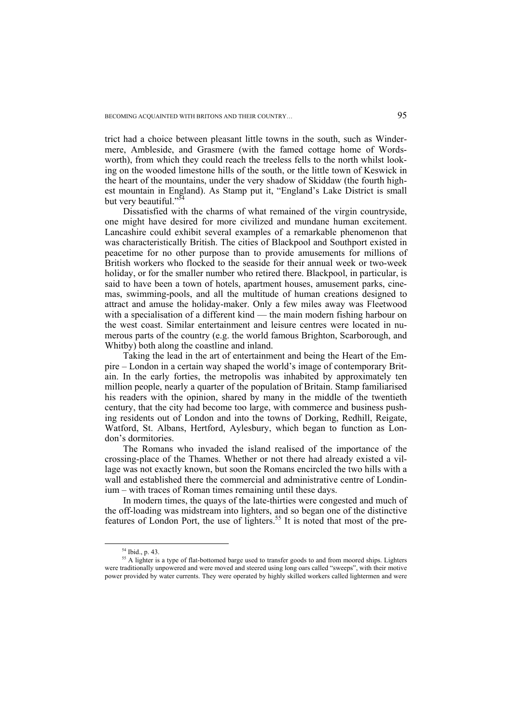trict had a choice between pleasant little towns in the south, such as Windermere, Ambleside, and Grasmere (with the famed cottage home of Wordsworth), from which they could reach the treeless fells to the north whilst looking on the wooded limestone hills of the south, or the little town of Keswick in the heart of the mountains, under the very shadow of Skiddaw (the fourth highest mountain in England). As Stamp put it, "England's Lake District is small but very beautiful."<sup>5</sup>

Dissatisfied with the charms of what remained of the virgin countryside, one might have desired for more civilized and mundane human excitement. Lancashire could exhibit several examples of a remarkable phenomenon that was characteristically British. The cities of Blackpool and Southport existed in peacetime for no other purpose than to provide amusements for millions of British workers who flocked to the seaside for their annual week or two-week holiday, or for the smaller number who retired there. Blackpool, in particular, is said to have been a town of hotels, apartment houses, amusement parks, cinemas, swimming-pools, and all the multitude of human creations designed to attract and amuse the holiday-maker. Only a few miles away was Fleetwood with a specialisation of a different kind — the main modern fishing harbour on the west coast. Similar entertainment and leisure centres were located in numerous parts of the country (e.g. the world famous Brighton, Scarborough, and Whitby) both along the coastline and inland.

Taking the lead in the art of entertainment and being the Heart of the Empire – London in a certain way shaped the world's image of contemporary Britain. In the early forties, the metropolis was inhabited by approximately ten million people, nearly a quarter of the population of Britain. Stamp familiarised his readers with the opinion, shared by many in the middle of the twentieth century, that the city had become too large, with commerce and business pushing residents out of London and into the towns of Dorking, Redhill, Reigate, Watford, St. Albans, Hertford, Aylesbury, which began to function as London's dormitories.

The Romans who invaded the island realised of the importance of the crossing-place of the Thames. Whether or not there had already existed a village was not exactly known, but soon the Romans encircled the two hills with a wall and established there the commercial and administrative centre of Londinium – with traces of Roman times remaining until these days.

In modern times, the quays of the late-thirties were congested and much of the off-loading was midstream into lighters, and so began one of the distinctive features of London Port, the use of lighters.55 It is noted that most of the pre-

 <sup>54</sup> Ibid., p. 43.

<sup>&</sup>lt;sup>55</sup> A lighter is a type of flat-bottomed barge used to transfer goods to and from moored ships. Lighters were traditionally unpowered and were moved and steered using long oars called "sweeps", with their motive power provided by water currents. They were operated by highly skilled workers called lightermen and were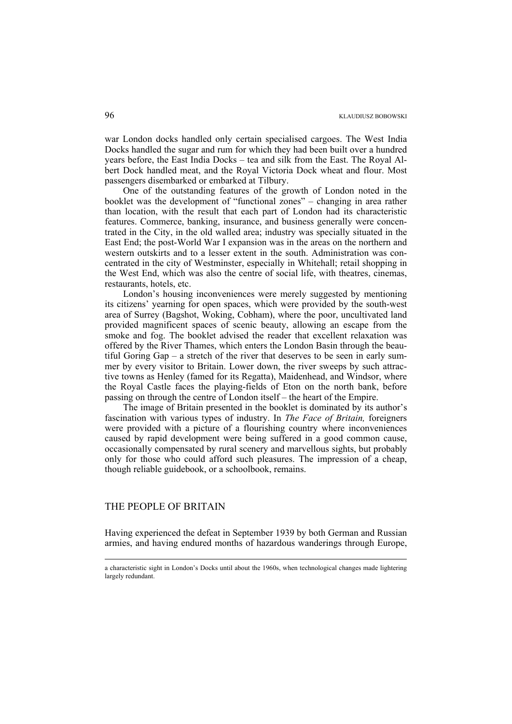war London docks handled only certain specialised cargoes. The West India Docks handled the sugar and rum for which they had been built over a hundred years before, the East India Docks – tea and silk from the East. The Royal Albert Dock handled meat, and the Royal Victoria Dock wheat and flour. Most passengers disembarked or embarked at Tilbury.

One of the outstanding features of the growth of London noted in the booklet was the development of "functional zones" – changing in area rather than location, with the result that each part of London had its characteristic features. Commerce, banking, insurance, and business generally were concentrated in the City, in the old walled area; industry was specially situated in the East End; the post-World War I expansion was in the areas on the northern and western outskirts and to a lesser extent in the south. Administration was concentrated in the city of Westminster, especially in Whitehall; retail shopping in the West End, which was also the centre of social life, with theatres, cinemas, restaurants, hotels, etc.

London's housing inconveniences were merely suggested by mentioning its citizens' yearning for open spaces, which were provided by the south-west area of Surrey (Bagshot, Woking, Cobham), where the poor, uncultivated land provided magnificent spaces of scenic beauty, allowing an escape from the smoke and fog. The booklet advised the reader that excellent relaxation was offered by the River Thames, which enters the London Basin through the beautiful Goring Gap – a stretch of the river that deserves to be seen in early summer by every visitor to Britain. Lower down, the river sweeps by such attractive towns as Henley (famed for its Regatta), Maidenhead, and Windsor, where the Royal Castle faces the playing-fields of Eton on the north bank, before passing on through the centre of London itself – the heart of the Empire.

The image of Britain presented in the booklet is dominated by its author's fascination with various types of industry. In *The Face of Britain,* foreigners were provided with a picture of a flourishing country where inconveniences caused by rapid development were being suffered in a good common cause, occasionally compensated by rural scenery and marvellous sights, but probably only for those who could afford such pleasures. The impression of a cheap, though reliable guidebook, or a schoolbook, remains.

## THE PEOPLE OF BRITAIN

1

Having experienced the defeat in September 1939 by both German and Russian armies, and having endured months of hazardous wanderings through Europe,

a characteristic sight in London's Docks until about the 1960s, when technological changes made lightering largely redundant.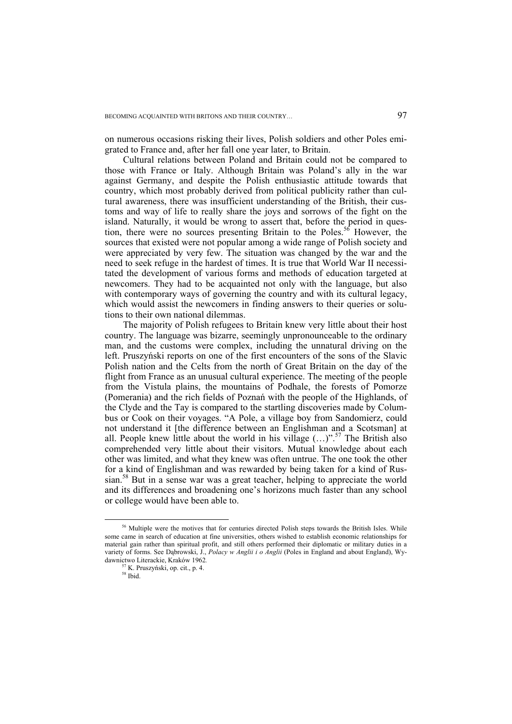on numerous occasions risking their lives, Polish soldiers and other Poles emigrated to France and, after her fall one year later, to Britain.

Cultural relations between Poland and Britain could not be compared to those with France or Italy. Although Britain was Poland's ally in the war against Germany, and despite the Polish enthusiastic attitude towards that country, which most probably derived from political publicity rather than cultural awareness, there was insufficient understanding of the British, their customs and way of life to really share the joys and sorrows of the fight on the island. Naturally, it would be wrong to assert that, before the period in question, there were no sources presenting Britain to the Poles.<sup>56</sup> However, the sources that existed were not popular among a wide range of Polish society and were appreciated by very few. The situation was changed by the war and the need to seek refuge in the hardest of times. It is true that World War II necessitated the development of various forms and methods of education targeted at newcomers. They had to be acquainted not only with the language, but also with contemporary ways of governing the country and with its cultural legacy, which would assist the newcomers in finding answers to their queries or solutions to their own national dilemmas.

The majority of Polish refugees to Britain knew very little about their host country. The language was bizarre, seemingly unpronounceable to the ordinary man, and the customs were complex, including the unnatural driving on the left. Pruszyński reports on one of the first encounters of the sons of the Slavic Polish nation and the Celts from the north of Great Britain on the day of the flight from France as an unusual cultural experience. The meeting of the people from the Vistula plains, the mountains of Podhale, the forests of Pomorze (Pomerania) and the rich fields of Poznań with the people of the Highlands, of the Clyde and the Tay is compared to the startling discoveries made by Columbus or Cook on their voyages. "A Pole, a village boy from Sandomierz, could not understand it [the difference between an Englishman and a Scotsman] at all. People knew little about the world in his village  $(\ldots)$ ".<sup>57</sup> The British also comprehended very little about their visitors. Mutual knowledge about each other was limited, and what they knew was often untrue. The one took the other for a kind of Englishman and was rewarded by being taken for a kind of Russian.<sup>58</sup> But in a sense war was a great teacher, helping to appreciate the world and its differences and broadening one's horizons much faster than any school or college would have been able to.

<sup>&</sup>lt;sup>56</sup> Multiple were the motives that for centuries directed Polish steps towards the British Isles. While some came in search of education at fine universities, others wished to establish economic relationships for material gain rather than spiritual profit, and still others performed their diplomatic or military duties in a variety of forms. See Dąbrowski, J., *Polacy w Anglii i o Anglii* (Poles in England and about England), Wydawnictwo Literackie, Kraków 1962*.*

 $57$  K. Pruszyński, op. cit., p. 4.  $58$  Ibid.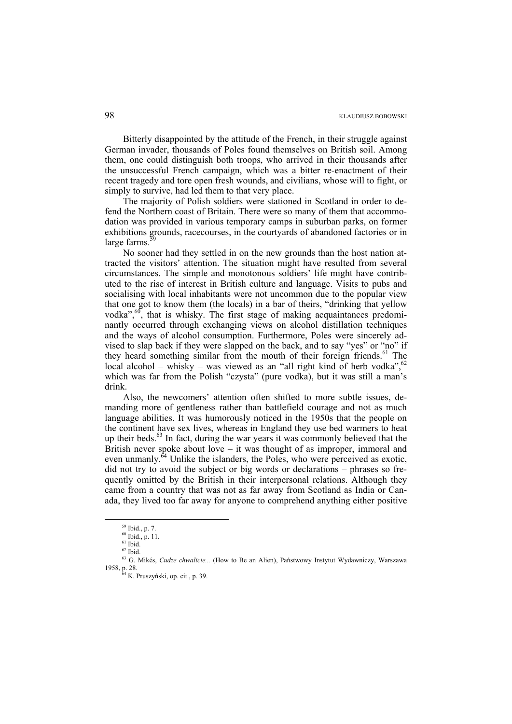Bitterly disappointed by the attitude of the French, in their struggle against German invader, thousands of Poles found themselves on British soil. Among them, one could distinguish both troops, who arrived in their thousands after the unsuccessful French campaign, which was a bitter re-enactment of their recent tragedy and tore open fresh wounds, and civilians, whose will to fight, or simply to survive, had led them to that very place.

The majority of Polish soldiers were stationed in Scotland in order to defend the Northern coast of Britain. There were so many of them that accommodation was provided in various temporary camps in suburban parks, on former exhibitions grounds, racecourses, in the courtyards of abandoned factories or in large farms.

No sooner had they settled in on the new grounds than the host nation attracted the visitors' attention. The situation might have resulted from several circumstances. The simple and monotonous soldiers' life might have contributed to the rise of interest in British culture and language. Visits to pubs and socialising with local inhabitants were not uncommon due to the popular view that one got to know them (the locals) in a bar of theirs, "drinking that yellow vodka",  $\frac{60}{7}$ , that is whisky. The first stage of making acquaintances predominantly occurred through exchanging views on alcohol distillation techniques and the ways of alcohol consumption. Furthermore, Poles were sincerely advised to slap back if they were slapped on the back, and to say "yes" or "no" if they heard something similar from the mouth of their foreign friends.<sup>61</sup> The local alcohol – whisky – was viewed as an "all right kind of herb vodka",  $62$ which was far from the Polish "czysta" (pure vodka), but it was still a man's drink.

Also, the newcomers' attention often shifted to more subtle issues, demanding more of gentleness rather than battlefield courage and not as much language abilities. It was humorously noticed in the 1950s that the people on the continent have sex lives, whereas in England they use bed warmers to heat up their beds.<sup>63</sup> In fact, during the war years it was commonly believed that the British never spoke about love – it was thought of as improper, immoral and even unmanly.<sup>64</sup> Unlike the islanders, the Poles, who were perceived as exotic, did not try to avoid the subject or big words or declarations – phrases so frequently omitted by the British in their interpersonal relations. Although they came from a country that was not as far away from Scotland as India or Canada, they lived too far away for anyone to comprehend anything either positive

 <sup>59</sup> Ibid., p. 7.

<sup>60</sup> Ibid., p. 11.

 $61$  Ibid.

 $62$  Ibid.

<sup>63</sup> G. Mikés, *Cudze chwalicie...* (How to Be an Alien), Państwowy Instytut Wydawniczy, Warszawa 1958, p. 28. 64 K. Pruszyński, op. cit., p. 39.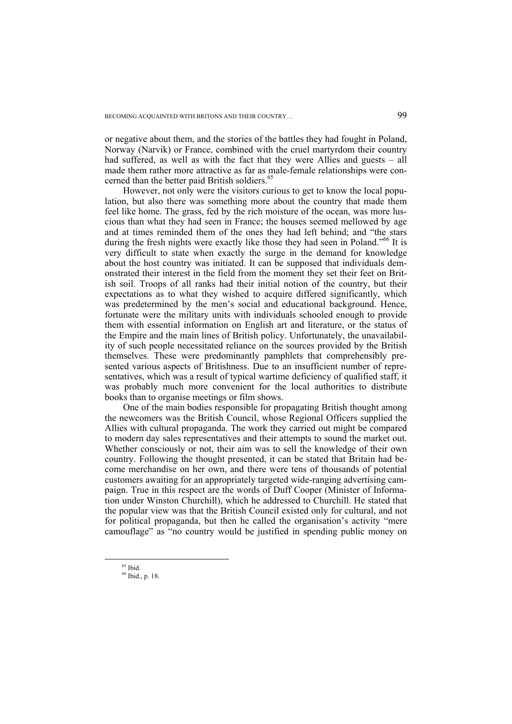or negative about them, and the stories of the battles they had fought in Poland, Norway (Narvik) or France, combined with the cruel martyrdom their country had suffered, as well as with the fact that they were Allies and guests – all made them rather more attractive as far as male-female relationships were concerned than the better paid British soldiers.<sup>65</sup>

However, not only were the visitors curious to get to know the local population, but also there was something more about the country that made them feel like home. The grass, fed by the rich moisture of the ocean, was more luscious than what they had seen in France; the houses seemed mellowed by age and at times reminded them of the ones they had left behind; and "the stars during the fresh nights were exactly like those they had seen in Poland."<sup>66</sup> It is very difficult to state when exactly the surge in the demand for knowledge about the host country was initiated. It can be supposed that individuals demonstrated their interest in the field from the moment they set their feet on British soil. Troops of all ranks had their initial notion of the country, but their expectations as to what they wished to acquire differed significantly, which was predetermined by the men's social and educational background. Hence, fortunate were the military units with individuals schooled enough to provide them with essential information on English art and literature, or the status of the Empire and the main lines of British policy. Unfortunately, the unavailability of such people necessitated reliance on the sources provided by the British themselves. These were predominantly pamphlets that comprehensibly presented various aspects of Britishness. Due to an insufficient number of representatives, which was a result of typical wartime deficiency of qualified staff, it was probably much more convenient for the local authorities to distribute books than to organise meetings or film shows.

One of the main bodies responsible for propagating British thought among the newcomers was the British Council, whose Regional Officers supplied the Allies with cultural propaganda. The work they carried out might be compared to modern day sales representatives and their attempts to sound the market out. Whether consciously or not, their aim was to sell the knowledge of their own country. Following the thought presented, it can be stated that Britain had become merchandise on her own, and there were tens of thousands of potential customers awaiting for an appropriately targeted wide-ranging advertising campaign. True in this respect are the words of Duff Cooper (Minister of Information under Winston Churchill), which he addressed to Churchill. He stated that the popular view was that the British Council existed only for cultural, and not for political propaganda, but then he called the organisation's activity "mere camouflage" as "no country would be justified in spending public money on

 $65$  Ibid.

<sup>66</sup> Ibid., p. 18.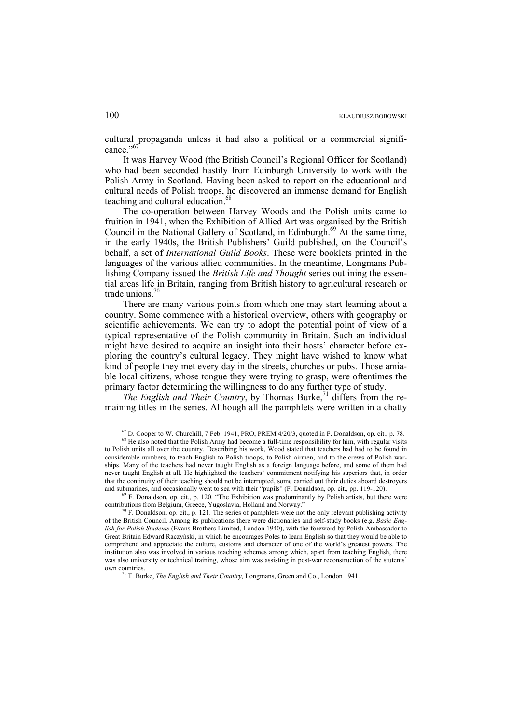cultural propaganda unless it had also a political or a commercial significance."<sup>67</sup>

It was Harvey Wood (the British Council's Regional Officer for Scotland) who had been seconded hastily from Edinburgh University to work with the Polish Army in Scotland. Having been asked to report on the educational and cultural needs of Polish troops, he discovered an immense demand for English teaching and cultural education.<sup>68</sup>

The co-operation between Harvey Woods and the Polish units came to fruition in 1941, when the Exhibition of Allied Art was organised by the British Council in the National Gallery of Scotland, in Edinburgh.<sup>69</sup> At the same time, in the early 1940s, the British Publishers' Guild published, on the Council's behalf, a set of *International Guild Books*. These were booklets printed in the languages of the various allied communities. In the meantime, Longmans Publishing Company issued the *British Life and Thought* series outlining the essential areas life in Britain, ranging from British history to agricultural research or trade unions.<sup>70</sup>

There are many various points from which one may start learning about a country. Some commence with a historical overview, others with geography or scientific achievements. We can try to adopt the potential point of view of a typical representative of the Polish community in Britain. Such an individual might have desired to acquire an insight into their hosts' character before exploring the country's cultural legacy. They might have wished to know what kind of people they met every day in the streets, churches or pubs. Those amiable local citizens, whose tongue they were trying to grasp, were oftentimes the primary factor determining the willingness to do any further type of study.

*The English and Their Country*, by Thomas Burke,<sup>71</sup> differs from the remaining titles in the series. Although all the pamphlets were written in a chatty

 $67$  D. Cooper to W. Churchill, 7 Feb. 1941, PRO, PREM 4/20/3, quoted in F. Donaldson, op. cit., p. 78.  $68$  He also noted that the Polish Army had become a full-time responsibility for him, with regular visits

to Polish units all over the country. Describing his work, Wood stated that teachers had had to be found in considerable numbers, to teach English to Polish troops, to Polish airmen, and to the crews of Polish warships. Many of the teachers had never taught English as a foreign language before, and some of them had never taught English at all. He highlighted the teachers' commitment notifying his superiors that, in order that the continuity of their teaching should not be interrupted, some carried out their duties aboard destroyers

and submarines, and occasionally went to sea with their "pupils" (F. Donaldson, op. cit., pp. 119-120). <sup>69</sup> F. Donaldson, op. cit., p. 120. "The Exhibition was predominantly by Polish artists, but there were contributions

 $F$ . Donaldson, op. cit., p. 121. The series of pamphlets were not the only relevant publishing activity of the British Council. Among its publications there were dictionaries and self-study books (e.g. *Basic English for Polish Students* (Evans Brothers Limited, London 1940), with the foreword by Polish Ambassador to Great Britain Edward Raczyński, in which he encourages Poles to learn English so that they would be able to comprehend and appreciate the culture, customs and character of one of the world's greatest powers. The institution also was involved in various teaching schemes among which, apart from teaching English, there was also university or technical training, whose aim was assisting in post-war reconstruction of the stutents' own countries. 71 T. Burke, *The English and Their Country,* Longmans, Green and Co., London 1941.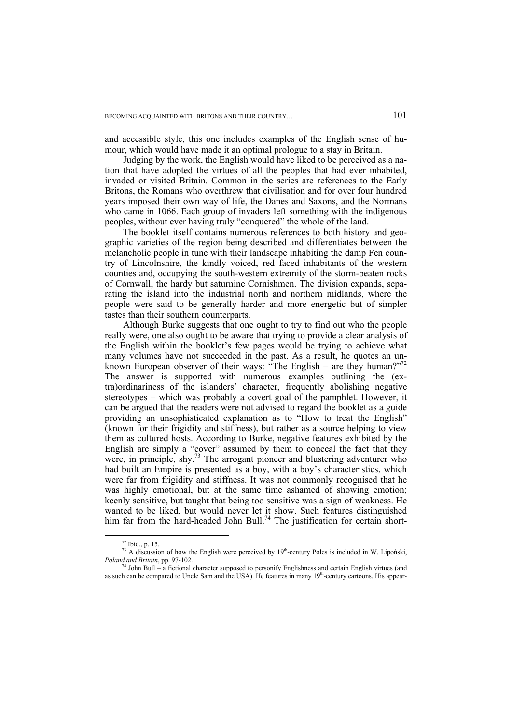and accessible style, this one includes examples of the English sense of humour, which would have made it an optimal prologue to a stay in Britain.

Judging by the work, the English would have liked to be perceived as a nation that have adopted the virtues of all the peoples that had ever inhabited, invaded or visited Britain. Common in the series are references to the Early Britons, the Romans who overthrew that civilisation and for over four hundred years imposed their own way of life, the Danes and Saxons, and the Normans who came in 1066. Each group of invaders left something with the indigenous peoples, without ever having truly "conquered" the whole of the land.

The booklet itself contains numerous references to both history and geographic varieties of the region being described and differentiates between the melancholic people in tune with their landscape inhabiting the damp Fen country of Lincolnshire, the kindly voiced, red faced inhabitants of the western counties and, occupying the south-western extremity of the storm-beaten rocks of Cornwall, the hardy but saturnine Cornishmen. The division expands, separating the island into the industrial north and northern midlands, where the people were said to be generally harder and more energetic but of simpler tastes than their southern counterparts.

Although Burke suggests that one ought to try to find out who the people really were, one also ought to be aware that trying to provide a clear analysis of the English within the booklet's few pages would be trying to achieve what many volumes have not succeeded in the past. As a result, he quotes an unknown European observer of their ways: "The English – are they human?"<sup>72</sup> The answer is supported with numerous examples outlining the (extra)ordinariness of the islanders' character, frequently abolishing negative stereotypes – which was probably a covert goal of the pamphlet. However, it can be argued that the readers were not advised to regard the booklet as a guide providing an unsophisticated explanation as to "How to treat the English" (known for their frigidity and stiffness), but rather as a source helping to view them as cultured hosts. According to Burke, negative features exhibited by the English are simply a "cover" assumed by them to conceal the fact that they were, in principle, shy.<sup>73</sup> The arrogant pioneer and blustering adventurer who had built an Empire is presented as a boy, with a boy's characteristics, which were far from frigidity and stiffness. It was not commonly recognised that he was highly emotional, but at the same time ashamed of showing emotion; keenly sensitive, but taught that being too sensitive was a sign of weakness. He wanted to be liked, but would never let it show. Such features distinguished him far from the hard-headed John Bull.<sup>74</sup> The justification for certain short-

 <sup>72</sup> Ibid., p. 15.

<sup>&</sup>lt;sup>73</sup> A discussion of how the English were perceived by  $19<sup>th</sup>$ -century Poles is included in W. Lipoński, *Poland and Britain*, pp. 97-102.

<sup>&</sup>lt;sup>74</sup> John Bull – a fictional character supposed to personify Englishness and certain English virtues (and as such can be compared to Uncle Sam and the USA). He features in many  $19<sup>th</sup>$ -century cartoons. His appear-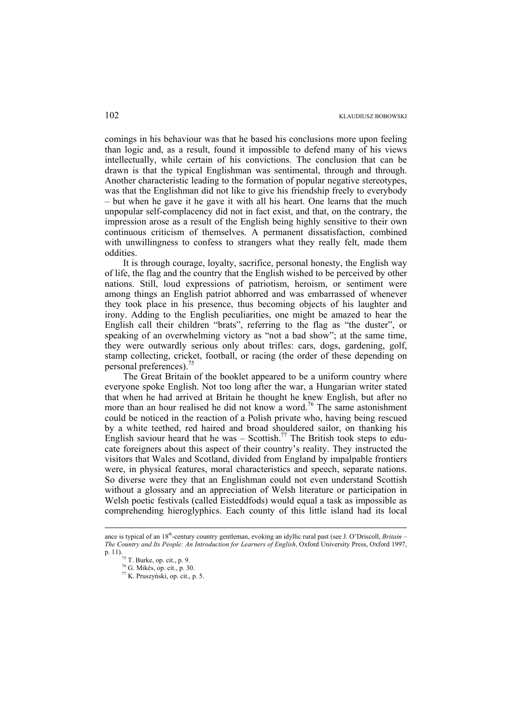comings in his behaviour was that he based his conclusions more upon feeling than logic and, as a result, found it impossible to defend many of his views intellectually, while certain of his convictions. The conclusion that can be drawn is that the typical Englishman was sentimental, through and through. Another characteristic leading to the formation of popular negative stereotypes, was that the Englishman did not like to give his friendship freely to everybody – but when he gave it he gave it with all his heart. One learns that the much unpopular self-complacency did not in fact exist, and that, on the contrary, the impression arose as a result of the English being highly sensitive to their own continuous criticism of themselves. A permanent dissatisfaction, combined with unwillingness to confess to strangers what they really felt, made them oddities.

It is through courage, loyalty, sacrifice, personal honesty, the English way of life, the flag and the country that the English wished to be perceived by other nations. Still, loud expressions of patriotism, heroism, or sentiment were among things an English patriot abhorred and was embarrassed of whenever they took place in his presence, thus becoming objects of his laughter and irony. Adding to the English peculiarities, one might be amazed to hear the English call their children "brats", referring to the flag as "the duster", or speaking of an overwhelming victory as "not a bad show"; at the same time, they were outwardly serious only about trifles: cars, dogs, gardening, golf, stamp collecting, cricket, football, or racing (the order of these depending on personal preferences).<sup>7</sup>

The Great Britain of the booklet appeared to be a uniform country where everyone spoke English. Not too long after the war, a Hungarian writer stated that when he had arrived at Britain he thought he knew English, but after no more than an hour realised he did not know a word.<sup>76</sup> The same astonishment could be noticed in the reaction of a Polish private who, having being rescued by a white teethed, red haired and broad shouldered sailor, on thanking his English saviour heard that he was – Scottish.<sup>77</sup> The British took steps to educate foreigners about this aspect of their country's reality. They instructed the visitors that Wales and Scotland, divided from England by impalpable frontiers were, in physical features, moral characteristics and speech, separate nations. So diverse were they that an Englishman could not even understand Scottish without a glossary and an appreciation of Welsh literature or participation in Welsh poetic festivals (called Eisteddfods) would equal a task as impossible as comprehending hieroglyphics. Each county of this little island had its local

1

ance is typical of an 18th-century country gentleman, evoking an idyllic rural past (see J. O'Driscoll, *Britain – The Country and Its People: An Introduction for Learners of English*, Oxford University Press, Oxford 1997, p. 11).<br>
<sup>75</sup> T. Burke, op. cit., p. 9.<br>
<sup>76</sup> G. Mikés, op. cit., p. 30.

 $77$  K. Pruszyński, op. cit., p. 5.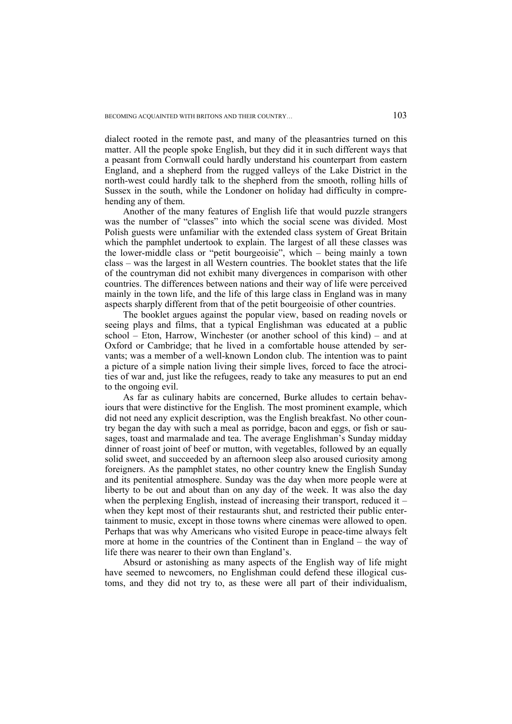dialect rooted in the remote past, and many of the pleasantries turned on this matter. All the people spoke English, but they did it in such different ways that a peasant from Cornwall could hardly understand his counterpart from eastern England, and a shepherd from the rugged valleys of the Lake District in the north-west could hardly talk to the shepherd from the smooth, rolling hills of Sussex in the south, while the Londoner on holiday had difficulty in comprehending any of them.

Another of the many features of English life that would puzzle strangers was the number of "classes" into which the social scene was divided. Most Polish guests were unfamiliar with the extended class system of Great Britain which the pamphlet undertook to explain. The largest of all these classes was the lower-middle class or "petit bourgeoisie", which – being mainly a town class – was the largest in all Western countries. The booklet states that the life of the countryman did not exhibit many divergences in comparison with other countries. The differences between nations and their way of life were perceived mainly in the town life, and the life of this large class in England was in many aspects sharply different from that of the petit bourgeoisie of other countries.

The booklet argues against the popular view, based on reading novels or seeing plays and films, that a typical Englishman was educated at a public school – Eton, Harrow, Winchester (or another school of this kind) – and at Oxford or Cambridge; that he lived in a comfortable house attended by servants; was a member of a well-known London club. The intention was to paint a picture of a simple nation living their simple lives, forced to face the atrocities of war and, just like the refugees, ready to take any measures to put an end to the ongoing evil.

As far as culinary habits are concerned, Burke alludes to certain behaviours that were distinctive for the English. The most prominent example, which did not need any explicit description, was the English breakfast. No other country began the day with such a meal as porridge, bacon and eggs, or fish or sausages, toast and marmalade and tea. The average Englishman's Sunday midday dinner of roast joint of beef or mutton, with vegetables, followed by an equally solid sweet, and succeeded by an afternoon sleep also aroused curiosity among foreigners. As the pamphlet states, no other country knew the English Sunday and its penitential atmosphere. Sunday was the day when more people were at liberty to be out and about than on any day of the week. It was also the day when the perplexing English, instead of increasing their transport, reduced it – when they kept most of their restaurants shut, and restricted their public entertainment to music, except in those towns where cinemas were allowed to open. Perhaps that was why Americans who visited Europe in peace-time always felt more at home in the countries of the Continent than in England – the way of life there was nearer to their own than England's.

Absurd or astonishing as many aspects of the English way of life might have seemed to newcomers, no Englishman could defend these illogical customs, and they did not try to, as these were all part of their individualism,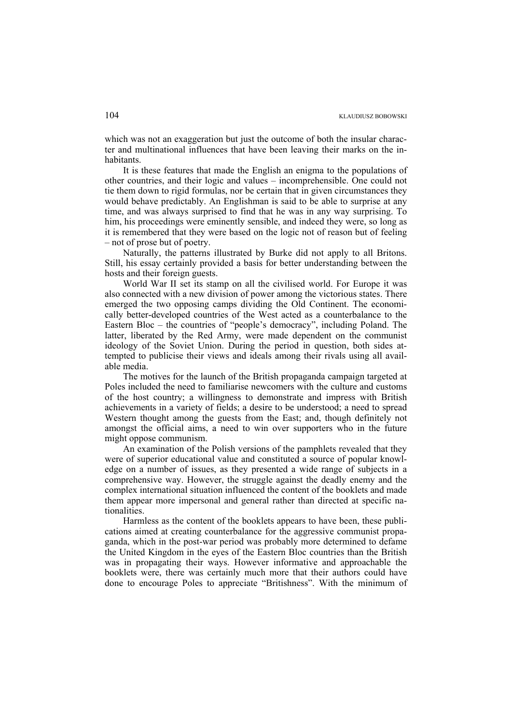which was not an exaggeration but just the outcome of both the insular character and multinational influences that have been leaving their marks on the inhabitants.

It is these features that made the English an enigma to the populations of other countries, and their logic and values – incomprehensible. One could not tie them down to rigid formulas, nor be certain that in given circumstances they would behave predictably. An Englishman is said to be able to surprise at any time, and was always surprised to find that he was in any way surprising. To him, his proceedings were eminently sensible, and indeed they were, so long as it is remembered that they were based on the logic not of reason but of feeling – not of prose but of poetry.

Naturally, the patterns illustrated by Burke did not apply to all Britons. Still, his essay certainly provided a basis for better understanding between the hosts and their foreign guests.

World War II set its stamp on all the civilised world. For Europe it was also connected with a new division of power among the victorious states. There emerged the two opposing camps dividing the Old Continent. The economically better-developed countries of the West acted as a counterbalance to the Eastern Bloc – the countries of "people's democracy", including Poland. The latter, liberated by the Red Army, were made dependent on the communist ideology of the Soviet Union. During the period in question, both sides attempted to publicise their views and ideals among their rivals using all available media.

The motives for the launch of the British propaganda campaign targeted at Poles included the need to familiarise newcomers with the culture and customs of the host country; a willingness to demonstrate and impress with British achievements in a variety of fields; a desire to be understood; a need to spread Western thought among the guests from the East; and, though definitely not amongst the official aims, a need to win over supporters who in the future might oppose communism.

An examination of the Polish versions of the pamphlets revealed that they were of superior educational value and constituted a source of popular knowledge on a number of issues, as they presented a wide range of subjects in a comprehensive way. However, the struggle against the deadly enemy and the complex international situation influenced the content of the booklets and made them appear more impersonal and general rather than directed at specific nationalities.

Harmless as the content of the booklets appears to have been, these publications aimed at creating counterbalance for the aggressive communist propaganda, which in the post-war period was probably more determined to defame the United Kingdom in the eyes of the Eastern Bloc countries than the British was in propagating their ways. However informative and approachable the booklets were, there was certainly much more that their authors could have done to encourage Poles to appreciate "Britishness". With the minimum of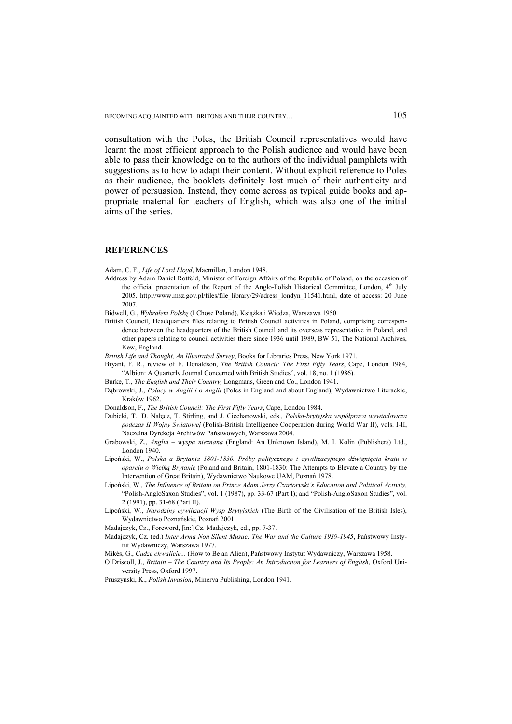BECOMING ACQUAINTED WITH BRITONS AND THEIR COUNTRY... 105

consultation with the Poles, the British Council representatives would have learnt the most efficient approach to the Polish audience and would have been able to pass their knowledge on to the authors of the individual pamphlets with suggestions as to how to adapt their content. Without explicit reference to Poles as their audience, the booklets definitely lost much of their authenticity and power of persuasion. Instead, they come across as typical guide books and appropriate material for teachers of English, which was also one of the initial aims of the series.

## **REFERENCES**

Adam, C. F., *Life of Lord Lloyd*, Macmillan, London 1948.

- Address by Adam Daniel Rotfeld, Minister of Foreign Affairs of the Republic of Poland, on the occasion of the official presentation of the Report of the Anglo-Polish Historical Committee, London, 4<sup>th</sup> July 2005. http://www.msz.gov.pl/files/file\_library/29/adress\_londyn\_11541.html, date of access: 20 June 2007.
- Bidwell, G., *Wybrałem Polskę* (I Chose Poland), Książka i Wiedza, Warszawa 1950.
- British Council, Headquarters files relating to British Council activities in Poland, comprising correspondence between the headquarters of the British Council and its overseas representative in Poland, and other papers relating to council activities there since 1936 until 1989, BW 51, The National Archives, Kew, England.
- *British Life and Thought, An Illustrated Survey*, Books for Libraries Press, New York 1971.
- Bryant, F. R., review of F. Donaldson, *The British Council: The First Fifty Years*, Cape, London 1984, "Albion: A Quarterly Journal Concerned with British Studies", vol. 18, no. 1 (1986).
- Burke, T., *The English and Their Country,* Longmans, Green and Co., London 1941.
- Dąbrowski, J., *Polacy w Anglii i o Anglii* (Poles in England and about England), Wydawnictwo Literackie, Kraków 1962.
- Donaldson, F., *The British Council: The First Fifty Years*, Cape, London 1984.
- Dubicki, T., D. Nałęcz, T. Stirling, and J. Ciechanowski, eds., *Polsko-brytyjska współpraca wywiadowcza podczas II Wojny Światowej* (Polish-British Intelligence Cooperation during World War II), vols. I-II, Naczelna Dyrekcja Archiwów Państwowych, Warszawa 2004.
- Grabowski, Z., *Anglia wyspa nieznana* (England: An Unknown Island), M. I. Kolin (Publishers) Ltd., London 1940.
- Lipoński, W., *Polska a Brytania 1801-1830. Próby politycznego i cywilizacyjnego dźwignięcia kraju w oparciu o Wielką Brytanię* (Poland and Britain, 1801-1830: The Attempts to Elevate a Country by the Intervention of Great Britain), Wydawnictwo Naukowe UAM, Poznań 1978.
- Lipoński, W., *The Influence of Britain on Prince Adam Jerzy Czartoryski's Education and Political Activity*, "Polish-AngloSaxon Studies", vol. 1 (1987), pp. 33-67 (Part I); and "Polish-AngloSaxon Studies", vol. 2 (1991), pp. 31-68 (Part II).
- Lipoński, W., *Narodziny cywilizacji Wysp Brytyjskich* (The Birth of the Civilisation of the British Isles), Wydawnictwo Poznańskie, Poznań 2001.
- Madajczyk, Cz., Foreword, [in:] Cz. Madajczyk, ed., pp. 7-37.
- Madajczyk, Cz. (ed.) *Inter Arma Non Silent Musae: The War and the Culture 1939-1945*, Państwowy Instytut Wydawniczy, Warszawa 1977.
- Mikés, G., *Cudze chwalicie...* (How to Be an Alien), Państwowy Instytut Wydawniczy, Warszawa 1958.
- O'Driscoll, J., *Britain The Country and Its People: An Introduction for Learners of English*, Oxford University Press, Oxford 1997.
- Pruszyński, K., *Polish Invasion*, Minerva Publishing, London 1941.